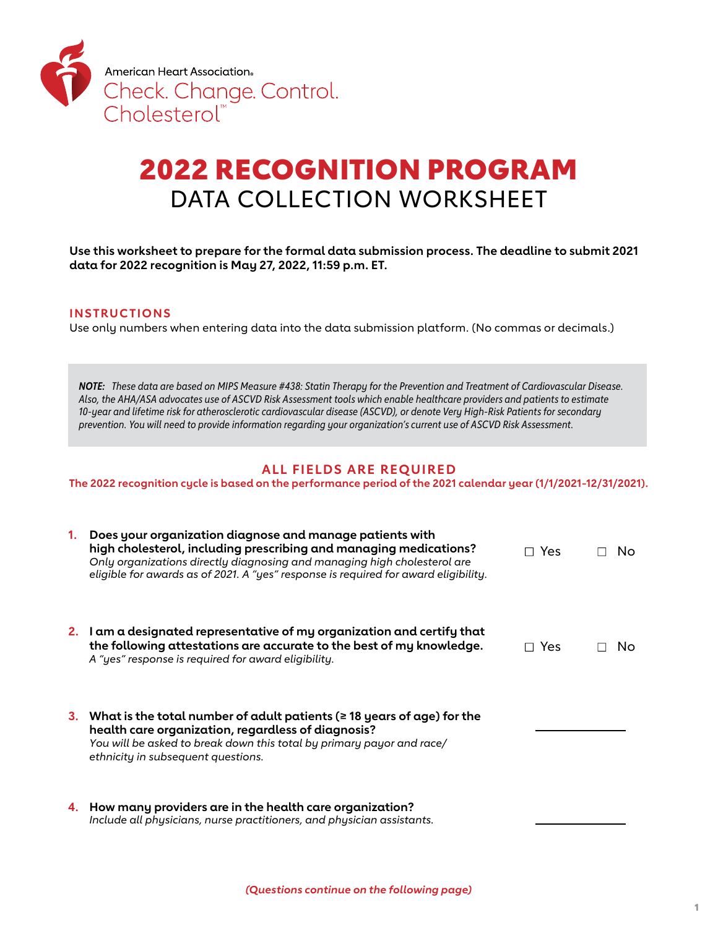

# 2022 RECOGNITION PROGRAM DATA COLLECTION WORKSHEET

**Use this worksheet to prepare for the formal data submission process. The deadline to submit 2021 data for 2022 recognition is May 27, 2022, 11:59 p.m. ET.**

#### **INS TRUC TIONS**

Use only numbers when entering data into the data submission platform. (No commas or decimals.)

*NOTE: These data are based on MIPS Measure #438: Statin Therapy for the Prevention and Treatment of Cardiovascular Disease. Also, the AHA/ASA advocates use of ASCVD Risk Assessment tools which enable healthcare providers and patients to estimate 10-year and lifetime risk for atherosclerotic cardiovascular disease (ASCVD), or denote Very High-Risk Patients for secondary prevention. You will need to provide information regarding your organization's current use of ASCVD Risk Assessment.* 

### **ALL FIELDS ARE REQUIRED**

**The 2022 recognition cycle is based on the performance period of the 2021 calendar year (1/1/2021-12/31/2021).** 

| 1. | Does your organization diagnose and manage patients with<br>high cholesterol, including prescribing and managing medications?<br>Only organizations directly diagnosing and managing high cholesterol are<br>eligible for awards as of 2021. A "yes" response is required for award eligibility. | □ Yes        | No. |
|----|--------------------------------------------------------------------------------------------------------------------------------------------------------------------------------------------------------------------------------------------------------------------------------------------------|--------------|-----|
|    | 2. I am a designated representative of my organization and certify that<br>the following attestations are accurate to the best of my knowledge.<br>A "yes" response is required for award eligibility.                                                                                           | $\sqcap$ Yes | No. |
|    | 3. What is the total number of adult patients ( $\geq$ 18 years of age) for the<br>health care organization, regardless of diagnosis?<br>You will be asked to break down this total by primary payor and race/<br>ethnicity in subsequent questions.                                             |              |     |
|    | 4. How many providers are in the health care organization?                                                                                                                                                                                                                                       |              |     |

*Include all physicians, nurse practitioners, and physician assistants.*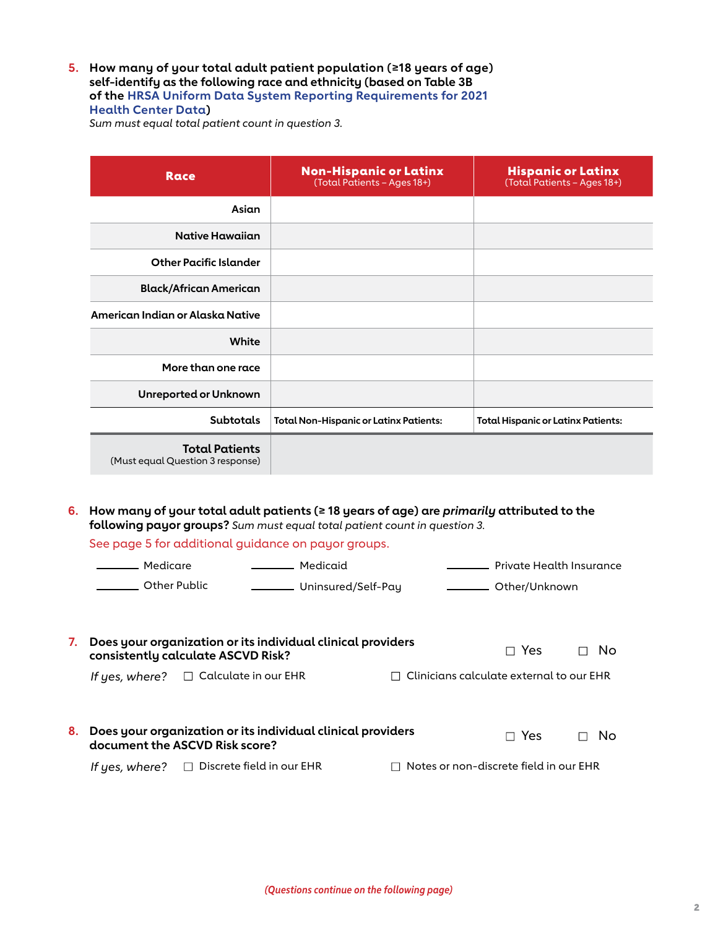**5. How many of your total adult patient population (≥18 years of age) self-identify as the following race and ethnicity (based on Table 3B of the [HRSA Uniform Data System Reporting Requirements for 2021](https://bphc.hrsa.gov/sites/default/files/bphc/datareporting/pdf/2021-uds-manual.pdf)  [Health Center Data\)](https://bphc.hrsa.gov/sites/default/files/bphc/datareporting/pdf/2021-uds-manual.pdf)**

*Sum must equal total patient count in question 3.*

| Race                                                      | <b>Non-Hispanic or Latinx</b><br>(Total Patients - Ages 18+) | <b>Hispanic or Latinx</b><br>(Total Patients - Ages 18+) |
|-----------------------------------------------------------|--------------------------------------------------------------|----------------------------------------------------------|
| Asian                                                     |                                                              |                                                          |
| <b>Native Hawaiian</b>                                    |                                                              |                                                          |
| <b>Other Pacific Islander</b>                             |                                                              |                                                          |
| <b>Black/African American</b>                             |                                                              |                                                          |
| American Indian or Alaska Native                          |                                                              |                                                          |
| White                                                     |                                                              |                                                          |
| More than one race                                        |                                                              |                                                          |
| <b>Unreported or Unknown</b>                              |                                                              |                                                          |
| <b>Subtotals</b>                                          | <b>Total Non-Hispanic or Latinx Patients:</b>                | <b>Total Hispanic or Latinx Patients:</b>                |
| <b>Total Patients</b><br>(Must equal Question 3 response) |                                                              |                                                          |

**6. How many of your total adult patients (≥ 18 years of age) are** *primarily* **attributed to the following payor groups?** *Sum must equal total patient count in question 3.*

See page 5 for additional guidance on payor groups.

|    | Medicare       |                                                                                                   | ———— Medicaid               |  | — Private Health Insurance               |    |
|----|----------------|---------------------------------------------------------------------------------------------------|-----------------------------|--|------------------------------------------|----|
|    | Other Public   |                                                                                                   | ________ Uninsured/Self-Pay |  | _________ Other/Unknown                  |    |
|    |                |                                                                                                   |                             |  |                                          |    |
| 7. |                | Does your organization or its individual clinical providers<br>consistently calculate ASCVD Risk? |                             |  | $\Box$ Yes                               | No |
|    |                | If yes, where? $\Box$ Calculate in our EHR                                                        |                             |  | Clinicians calculate external to our EHR |    |
|    |                |                                                                                                   |                             |  |                                          |    |
| 8. |                | Does your organization or its individual clinical providers<br>document the ASCVD Risk score?     |                             |  | $\Box$ Yes                               | No |
|    | If yes, where? | $\Box$ Discrete field in our EHR                                                                  |                             |  | Notes or non-discrete field in our EHR   |    |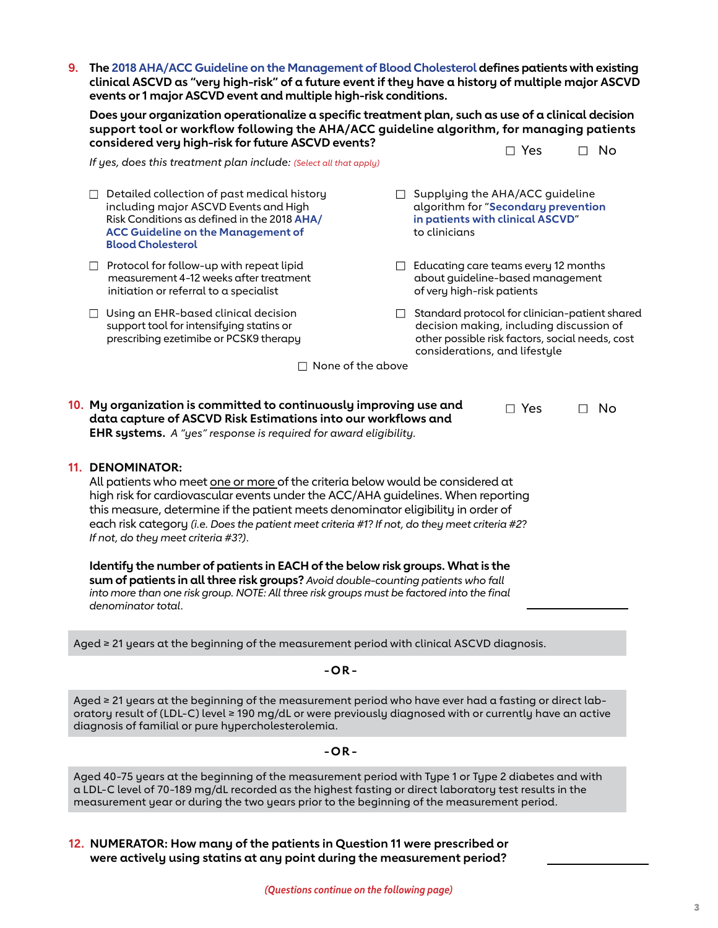**9. The [2018 AHA/ACC Guideline on the Management of Blood Cholesterol](https://www.ahajournals.org/doi/10.1161/CIR.0000000000000625) defines patients with existing clinical ASCVD as "very high-risk" of a future event if they have a history of multiple major ASCVD events or 1 major ASCVD event and multiple high-risk conditions.**

**Does your organization operationalize a specific treatment plan, such as use of a clinical decision support tool or workflow following the AHA/ACC guideline algorithm, for managing patients considered very high-risk for future ASCVD events?** 

 $\Box$  Yes  $\Box$  No

*If yes, does this treatment plan include: (Select all that apply)*

- $\Box$  Detailed collection of past medical history including major ASCVD Events and High Risk Conditions as defined in the 2018 **[AHA/](https://www.ahajournals.org/doi/10.1161/CIR.0000000000000625) [ACC Guideline on the Management of](https://www.ahajournals.org/doi/10.1161/CIR.0000000000000625)  [Blood Cholesterol](https://www.ahajournals.org/doi/10.1161/CIR.0000000000000625)**
- $\Box$  Protocol for follow-up with repeat lipid measurement 4-12 weeks after treatment initiation or referral to a specialist
- $\Box$  Using an EHR-based clinical decision support tool for intensifying statins or prescribing ezetimibe or PCSK9 therapy
- $\Box$  Supplying the AHA/ACC guideline algorithm for "**[Secondary prevention](https://www.ahajournals.org/cms/asset/89d5d937-525c-4727-b118-f06f3cef1f73/e1082fig01.gif)  [in patients with clinical ASCVD](https://www.ahajournals.org/cms/asset/89d5d937-525c-4727-b118-f06f3cef1f73/e1082fig01.gif)**" to clinicians
- $\Box$  Educating care teams every 12 months about guideline-based management of very high-risk patients
- $\Box$  Standard protocol for clinician-patient shared decision making, including discussion of other possible risk factors, social needs, cost considerations, and lifestyle

 $\Box$  None of the above

| 10. My organization is committed to continuously improving use and      | $\Box$ Yes | ∩ No |
|-------------------------------------------------------------------------|------------|------|
| data capture of ASCVD Risk Estimations into our workflows and           |            |      |
| <b>EHR systems.</b> A "yes" response is required for award eligibility. |            |      |

#### **11. DENOMINATOR:**

All patients who meet one or more of the criteria below would be considered at high risk for cardiovascular events under the ACC/AHA guidelines. When reporting this measure, determine if the patient meets denominator eligibility in order of each risk category *(i.e. Does the patient meet criteria #1? If not, do they meet criteria #2? If not, do they meet criteria #3?)*.

**Identify the number of patients in EACH of the below risk groups. What is the sum of patients in all three risk groups?** *Avoid double-counting patients who fall into more than one risk group. NOTE: All three risk groups must be factored into the final denominator total.*

Aged ≥ 21 years at the beginning of the measurement period with clinical ASCVD diagnosis.

#### **-OR -**

Aged ≥ 21 years at the beginning of the measurement period who have ever had a fasting or direct laboratory result of (LDL-C) level ≥ 190 mg/dL or were previously diagnosed with or currently have an active diagnosis of familial or pure hypercholesterolemia.

**-OR -**

Aged 40-75 years at the beginning of the measurement period with Type 1 or Type 2 diabetes and with a LDL-C level of 70-189 mg/dL recorded as the highest fasting or direct laboratory test results in the measurement year or during the two years prior to the beginning of the measurement period.

**12. NUMERATOR: How many of the patients in Question 11 were prescribed or were actively using statins at any point during the measurement period?**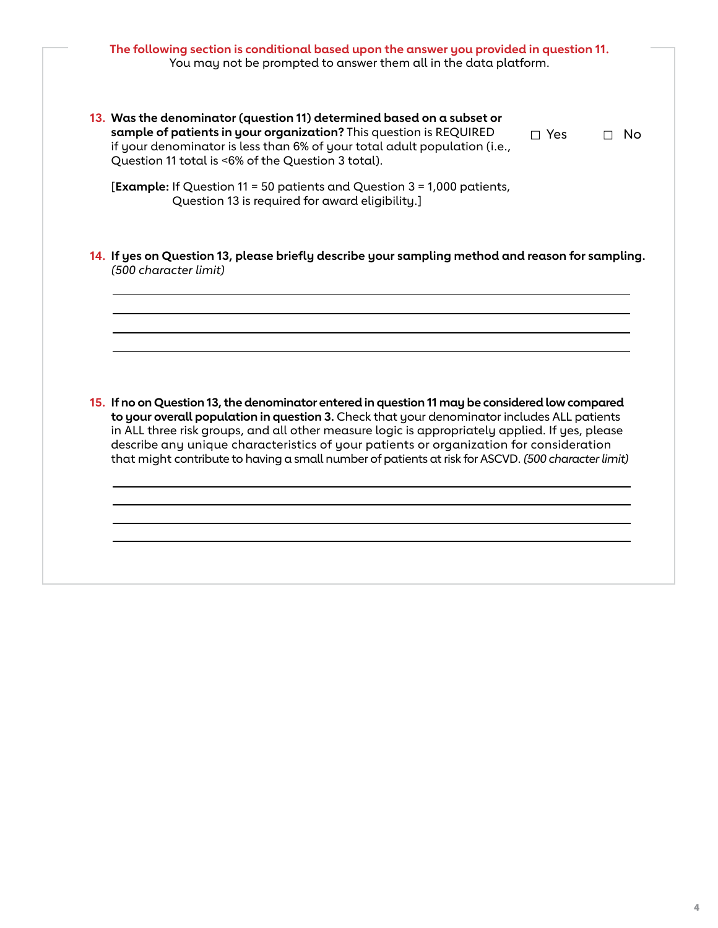# **The following section is conditional based upon the answer you provided in question 11.**  You may not be prompted to answer them all in the data platform.

**13. Was the denominator (question 11) determined based on a subset or sample of patients in your organization?** This question is REQUIRED if your denominator is less than 6% of your total adult population (i.e., Question 11 total is <6% of the Question 3 total). □ Yes □ No

[**Example:** If Question 11 = 50 patients and Question 3 = 1,000 patients, Question 13 is required for award eligibility.]

**14. If yes on Question 13, please briefly describe your sampling method and reason for sampling.**  *(500 character limit)*

**15. If no on Question 13, the denominator entered in question 11 may be considered low compared to your overall population in question 3.** Check that your denominator includes ALL patients in ALL three risk groups, and all other measure logic is appropriately applied. If yes, please describe any unique characteristics of your patients or organization for consideration that might contribute to having a small number of patients at risk for ASCVD. *(500 character limit)*